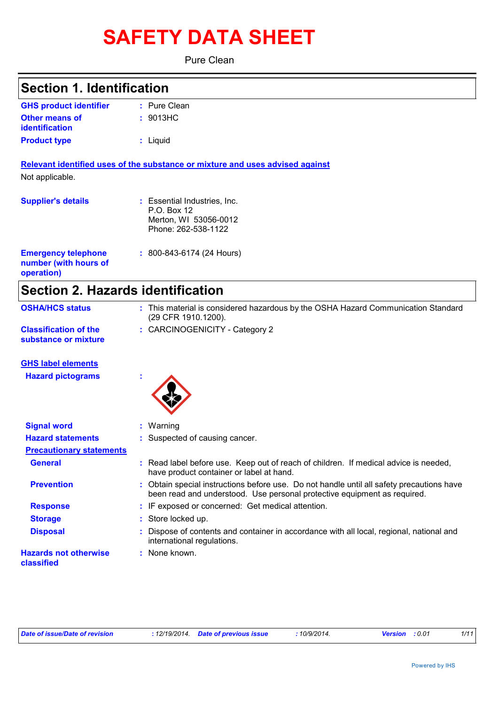# **SAFETY DATA SHEET**

Pure Clean

### **Section 1. Identification**

| <b>GHS product identifier</b> | $:$ Pure Clean |
|-------------------------------|----------------|
| <b>Other means of</b>         | : 9013HC       |
| identification                |                |
| <b>Product type</b>           | : Liguid       |

**Relevant identified uses of the substance or mixture and uses advised against** Not applicable.

| <b>Supplier's details</b>                                         | : Essential Industries, Inc.<br>P.O. Box 12<br>Merton, WI 53056-0012<br>Phone: 262-538-1122 |
|-------------------------------------------------------------------|---------------------------------------------------------------------------------------------|
| <b>Emergency telephone</b><br>number (with hours of<br>operation) | $: 800 - 843 - 6174$ (24 Hours)                                                             |

### **Section 2. Hazards identification**

| <b>OSHA/HCS status</b>                               | This material is considered hazardous by the OSHA Hazard Communication Standard<br>(29 CFR 1910.1200). |
|------------------------------------------------------|--------------------------------------------------------------------------------------------------------|
| <b>Classification of the</b><br>substance or mixture | : CARCINOGENICITY - Category 2                                                                         |

#### **GHS label elements**

**Hazard pictograms :**



| <b>Signal word</b>                         | $:$ Warning                                                                                                                                                           |
|--------------------------------------------|-----------------------------------------------------------------------------------------------------------------------------------------------------------------------|
| <b>Hazard statements</b>                   | : Suspected of causing cancer.                                                                                                                                        |
| <b>Precautionary statements</b>            |                                                                                                                                                                       |
| <b>General</b>                             | : Read label before use. Keep out of reach of children. If medical advice is needed,<br>have product container or label at hand.                                      |
| <b>Prevention</b>                          | : Obtain special instructions before use. Do not handle until all safety precautions have<br>been read and understood. Use personal protective equipment as required. |
| <b>Response</b>                            | : IF exposed or concerned: Get medical attention.                                                                                                                     |
| <b>Storage</b>                             | : Store locked up.                                                                                                                                                    |
| <b>Disposal</b>                            | : Dispose of contents and container in accordance with all local, regional, national and<br>international regulations.                                                |
| <b>Hazards not otherwise</b><br>classified | : None known.                                                                                                                                                         |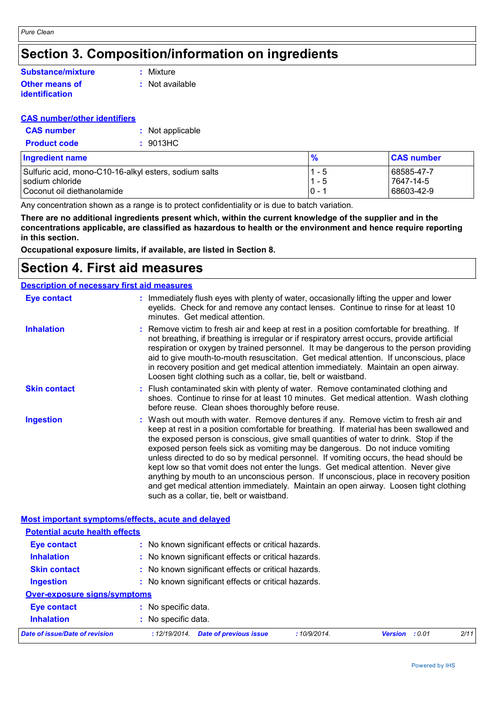## **Section 3. Composition/information on ingredients**

#### **Other means of identification Substance/mixture**

**:** Mixture

**:** Not available

#### **CAS number/other identifiers**

| <b>CAS number</b>   | : Not applicable |
|---------------------|------------------|
| <b>Product code</b> | : 9013HC         |

| <b>Ingredient name</b>                                | %        | <b>CAS number</b> |
|-------------------------------------------------------|----------|-------------------|
| Sulfuric acid, mono-C10-16-alkyl esters, sodium salts | 1 - 5    | 68585-47-7        |
| sodium chloride                                       | $1 - 5$  | 7647-14-5         |
| Coconut oil diethanolamide                            | $10 - 1$ | 68603-42-9        |

Any concentration shown as a range is to protect confidentiality or is due to batch variation.

**There are no additional ingredients present which, within the current knowledge of the supplier and in the concentrations applicable, are classified as hazardous to health or the environment and hence require reporting in this section.**

**Occupational exposure limits, if available, are listed in Section 8.**

### **Section 4. First aid measures**

#### **Description of necessary first aid measures**

| <b>Eye contact</b>  | : Immediately flush eyes with plenty of water, occasionally lifting the upper and lower<br>eyelids. Check for and remove any contact lenses. Continue to rinse for at least 10<br>minutes. Get medical attention.                                                                                                                                                                                                                                                                                                                                                                                                                                                                                                                                                         |
|---------------------|---------------------------------------------------------------------------------------------------------------------------------------------------------------------------------------------------------------------------------------------------------------------------------------------------------------------------------------------------------------------------------------------------------------------------------------------------------------------------------------------------------------------------------------------------------------------------------------------------------------------------------------------------------------------------------------------------------------------------------------------------------------------------|
| <b>Inhalation</b>   | : Remove victim to fresh air and keep at rest in a position comfortable for breathing. If<br>not breathing, if breathing is irregular or if respiratory arrest occurs, provide artificial<br>respiration or oxygen by trained personnel. It may be dangerous to the person providing<br>aid to give mouth-to-mouth resuscitation. Get medical attention. If unconscious, place<br>in recovery position and get medical attention immediately. Maintain an open airway.<br>Loosen tight clothing such as a collar, tie, belt or waistband.                                                                                                                                                                                                                                 |
| <b>Skin contact</b> | : Flush contaminated skin with plenty of water. Remove contaminated clothing and<br>shoes. Continue to rinse for at least 10 minutes. Get medical attention. Wash clothing<br>before reuse. Clean shoes thoroughly before reuse.                                                                                                                                                                                                                                                                                                                                                                                                                                                                                                                                          |
| <b>Ingestion</b>    | : Wash out mouth with water. Remove dentures if any. Remove victim to fresh air and<br>keep at rest in a position comfortable for breathing. If material has been swallowed and<br>the exposed person is conscious, give small quantities of water to drink. Stop if the<br>exposed person feels sick as vomiting may be dangerous. Do not induce vomiting<br>unless directed to do so by medical personnel. If vomiting occurs, the head should be<br>kept low so that vomit does not enter the lungs. Get medical attention. Never give<br>anything by mouth to an unconscious person. If unconscious, place in recovery position<br>and get medical attention immediately. Maintain an open airway. Loosen tight clothing<br>such as a collar, tie, belt or waistband. |

| <b>Potential acute health effects</b> |                                                               |                |        |      |
|---------------------------------------|---------------------------------------------------------------|----------------|--------|------|
| Eye contact                           | : No known significant effects or critical hazards.           |                |        |      |
| <b>Inhalation</b>                     | : No known significant effects or critical hazards.           |                |        |      |
| <b>Skin contact</b>                   | : No known significant effects or critical hazards.           |                |        |      |
| <b>Ingestion</b>                      | : No known significant effects or critical hazards.           |                |        |      |
| <b>Over-exposure signs/symptoms</b>   |                                                               |                |        |      |
| <b>Eye contact</b>                    | : No specific data.                                           |                |        |      |
| <b>Inhalation</b>                     | : No specific data.                                           |                |        |      |
| Date of issue/Date of revision        | <b>Date of previous issue</b><br>: 12/19/2014.<br>:10/9/2014. | <b>Version</b> | : 0.01 | 2/11 |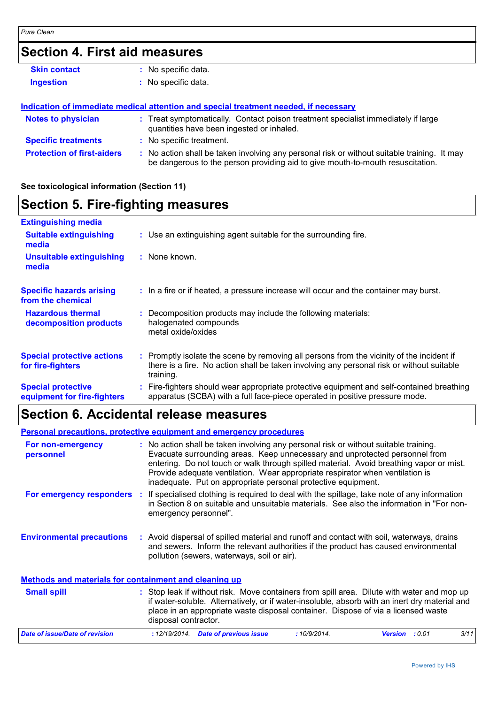### **Section 4. First aid measures**

| <b>Skin contact</b>               |    | No specific data.                                                                                                                                                           |
|-----------------------------------|----|-----------------------------------------------------------------------------------------------------------------------------------------------------------------------------|
| <b>Ingestion</b>                  |    | : No specific data.                                                                                                                                                         |
|                                   |    | Indication of immediate medical attention and special treatment needed, if necessary                                                                                        |
| <b>Notes to physician</b>         |    | : Treat symptomatically. Contact poison treatment specialist immediately if large<br>quantities have been ingested or inhaled.                                              |
| <b>Specific treatments</b>        |    | : No specific treatment.                                                                                                                                                    |
| <b>Protection of first-aiders</b> | ÷. | No action shall be taken involving any personal risk or without suitable training. It may<br>be dangerous to the person providing aid to give mouth-to-mouth resuscitation. |

#### **See toxicological information (Section 11)**

### **Section 5. Fire-fighting measures**

| <b>Extinguishing media</b>                               |                                                                                                                                                                                                     |
|----------------------------------------------------------|-----------------------------------------------------------------------------------------------------------------------------------------------------------------------------------------------------|
| <b>Suitable extinguishing</b><br>media                   | : Use an extinguishing agent suitable for the surrounding fire.                                                                                                                                     |
| <b>Unsuitable extinguishing</b><br>media                 | : None known.                                                                                                                                                                                       |
| <b>Specific hazards arising</b><br>from the chemical     | : In a fire or if heated, a pressure increase will occur and the container may burst.                                                                                                               |
| <b>Hazardous thermal</b><br>decomposition products       | Decomposition products may include the following materials:<br>halogenated compounds<br>metal oxide/oxides                                                                                          |
| <b>Special protective actions</b><br>for fire-fighters   | : Promptly isolate the scene by removing all persons from the vicinity of the incident if<br>there is a fire. No action shall be taken involving any personal risk or without suitable<br>training. |
| <b>Special protective</b><br>equipment for fire-fighters | Fire-fighters should wear appropriate protective equipment and self-contained breathing<br>apparatus (SCBA) with a full face-piece operated in positive pressure mode.                              |

### **Section 6. Accidental release measures**

|                                                              | <b>Personal precautions, protective equipment and emergency procedures</b>                                                                                                                                                                                                                                                                                                                                       |
|--------------------------------------------------------------|------------------------------------------------------------------------------------------------------------------------------------------------------------------------------------------------------------------------------------------------------------------------------------------------------------------------------------------------------------------------------------------------------------------|
| For non-emergency<br>personnel                               | : No action shall be taken involving any personal risk or without suitable training.<br>Evacuate surrounding areas. Keep unnecessary and unprotected personnel from<br>entering. Do not touch or walk through spilled material. Avoid breathing vapor or mist.<br>Provide adequate ventilation. Wear appropriate respirator when ventilation is<br>inadequate. Put on appropriate personal protective equipment. |
| <b>For emergency responders</b>                              | If specialised clothing is required to deal with the spillage, take note of any information<br>-11<br>in Section 8 on suitable and unsuitable materials. See also the information in "For non-<br>emergency personnel".                                                                                                                                                                                          |
| <b>Environmental precautions</b>                             | : Avoid dispersal of spilled material and runoff and contact with soil, waterways, drains<br>and sewers. Inform the relevant authorities if the product has caused environmental<br>pollution (sewers, waterways, soil or air).                                                                                                                                                                                  |
| <b>Methods and materials for containment and cleaning up</b> |                                                                                                                                                                                                                                                                                                                                                                                                                  |
| <b>Small spill</b>                                           | : Stop leak if without risk. Move containers from spill area. Dilute with water and mop up<br>if water-soluble. Alternatively, or if water-insoluble, absorb with an inert dry material and<br>place in an appropriate waste disposal container. Dispose of via a licensed waste<br>disposal contractor.                                                                                                         |
| Date of issue/Date of revision                               | : 12/19/2014 Date of previous issue<br>:10/9/2014.<br>3/11<br>Version : 0.01                                                                                                                                                                                                                                                                                                                                     |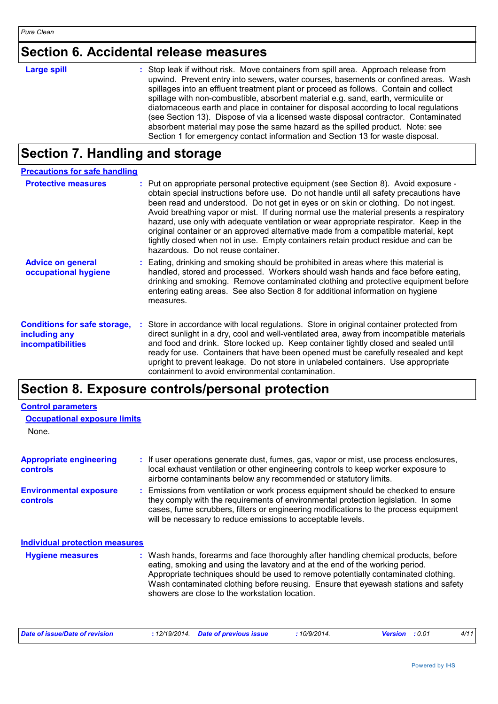### **Section 6. Accidental release measures**

| : Stop leak if without risk. Move containers from spill area. Approach release from<br>upwind. Prevent entry into sewers, water courses, basements or confined areas. Wash<br>spillages into an effluent treatment plant or proceed as follows. Contain and collect<br>spillage with non-combustible, absorbent material e.g. sand, earth, vermiculite or<br>diatomaceous earth and place in container for disposal according to local regulations<br>(see Section 13). Dispose of via a licensed waste disposal contractor. Contaminated<br>absorbent material may pose the same hazard as the spilled product. Note: see |
|----------------------------------------------------------------------------------------------------------------------------------------------------------------------------------------------------------------------------------------------------------------------------------------------------------------------------------------------------------------------------------------------------------------------------------------------------------------------------------------------------------------------------------------------------------------------------------------------------------------------------|
|                                                                                                                                                                                                                                                                                                                                                                                                                                                                                                                                                                                                                            |

## **Section 7. Handling and storage**

| <b>Precautions for safe handling</b>                                             |                                                                                                                                                                                                                                                                                                                                                                                                                                                                                                                                                                                                                                                                                |
|----------------------------------------------------------------------------------|--------------------------------------------------------------------------------------------------------------------------------------------------------------------------------------------------------------------------------------------------------------------------------------------------------------------------------------------------------------------------------------------------------------------------------------------------------------------------------------------------------------------------------------------------------------------------------------------------------------------------------------------------------------------------------|
| <b>Protective measures</b>                                                       | : Put on appropriate personal protective equipment (see Section 8). Avoid exposure -<br>obtain special instructions before use. Do not handle until all safety precautions have<br>been read and understood. Do not get in eyes or on skin or clothing. Do not ingest.<br>Avoid breathing vapor or mist. If during normal use the material presents a respiratory<br>hazard, use only with adequate ventilation or wear appropriate respirator. Keep in the<br>original container or an approved alternative made from a compatible material, kept<br>tightly closed when not in use. Empty containers retain product residue and can be<br>hazardous. Do not reuse container. |
| <b>Advice on general</b><br>occupational hygiene                                 | : Eating, drinking and smoking should be prohibited in areas where this material is<br>handled, stored and processed. Workers should wash hands and face before eating,<br>drinking and smoking. Remove contaminated clothing and protective equipment before<br>entering eating areas. See also Section 8 for additional information on hygiene<br>measures.                                                                                                                                                                                                                                                                                                                  |
| <b>Conditions for safe storage,</b><br>including any<br><b>incompatibilities</b> | Store in accordance with local regulations. Store in original container protected from<br>direct sunlight in a dry, cool and well-ventilated area, away from incompatible materials<br>and food and drink. Store locked up. Keep container tightly closed and sealed until<br>ready for use. Containers that have been opened must be carefully resealed and kept<br>upright to prevent leakage. Do not store in unlabeled containers. Use appropriate<br>containment to avoid environmental contamination.                                                                                                                                                                    |

### **Section 8. Exposure controls/personal protection**

| <b>Control parameters</b>                         |                                                                                                                                                                                                                                                                                                                                                                                                   |
|---------------------------------------------------|---------------------------------------------------------------------------------------------------------------------------------------------------------------------------------------------------------------------------------------------------------------------------------------------------------------------------------------------------------------------------------------------------|
| <b>Occupational exposure limits</b>               |                                                                                                                                                                                                                                                                                                                                                                                                   |
| None.                                             |                                                                                                                                                                                                                                                                                                                                                                                                   |
| <b>Appropriate engineering</b><br><b>controls</b> | : If user operations generate dust, fumes, gas, vapor or mist, use process enclosures,<br>local exhaust ventilation or other engineering controls to keep worker exposure to<br>airborne contaminants below any recommended or statutory limits.                                                                                                                                                  |
| <b>Environmental exposure</b><br>controls         | : Emissions from ventilation or work process equipment should be checked to ensure<br>they comply with the requirements of environmental protection legislation. In some<br>cases, fume scrubbers, filters or engineering modifications to the process equipment<br>will be necessary to reduce emissions to acceptable levels.                                                                   |
| <b>Individual protection measures</b>             |                                                                                                                                                                                                                                                                                                                                                                                                   |
| <b>Hygiene measures</b>                           | : Wash hands, forearms and face thoroughly after handling chemical products, before<br>eating, smoking and using the lavatory and at the end of the working period.<br>Appropriate techniques should be used to remove potentially contaminated clothing.<br>Wash contaminated clothing before reusing. Ensure that eyewash stations and safety<br>showers are close to the workstation location. |

| Date of issue/Date of revision | : 12/19/2014 Date of previous issue | 10/9/2014. | <b>Version</b> : 0.01 |  |
|--------------------------------|-------------------------------------|------------|-----------------------|--|
|--------------------------------|-------------------------------------|------------|-----------------------|--|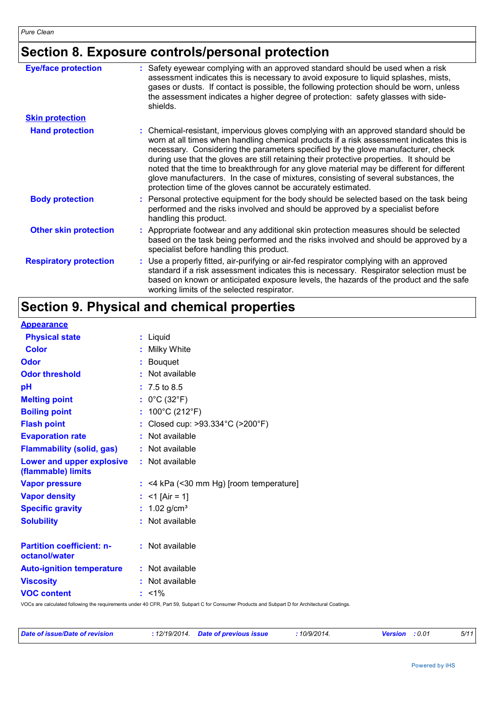### **Section 8. Exposure controls/personal protection**

| <b>Eye/face protection</b>    | : Safety eyewear complying with an approved standard should be used when a risk<br>assessment indicates this is necessary to avoid exposure to liquid splashes, mists,<br>gases or dusts. If contact is possible, the following protection should be worn, unless<br>the assessment indicates a higher degree of protection: safety glasses with side-<br>shields.                                                                                                                                                                                                                                                     |
|-------------------------------|------------------------------------------------------------------------------------------------------------------------------------------------------------------------------------------------------------------------------------------------------------------------------------------------------------------------------------------------------------------------------------------------------------------------------------------------------------------------------------------------------------------------------------------------------------------------------------------------------------------------|
| <b>Skin protection</b>        |                                                                                                                                                                                                                                                                                                                                                                                                                                                                                                                                                                                                                        |
| <b>Hand protection</b>        | : Chemical-resistant, impervious gloves complying with an approved standard should be<br>worn at all times when handling chemical products if a risk assessment indicates this is<br>necessary. Considering the parameters specified by the glove manufacturer, check<br>during use that the gloves are still retaining their protective properties. It should be<br>noted that the time to breakthrough for any glove material may be different for different<br>glove manufacturers. In the case of mixtures, consisting of several substances, the<br>protection time of the gloves cannot be accurately estimated. |
| <b>Body protection</b>        | : Personal protective equipment for the body should be selected based on the task being<br>performed and the risks involved and should be approved by a specialist before<br>handling this product.                                                                                                                                                                                                                                                                                                                                                                                                                    |
| <b>Other skin protection</b>  | : Appropriate footwear and any additional skin protection measures should be selected<br>based on the task being performed and the risks involved and should be approved by a<br>specialist before handling this product.                                                                                                                                                                                                                                                                                                                                                                                              |
| <b>Respiratory protection</b> | : Use a properly fitted, air-purifying or air-fed respirator complying with an approved<br>standard if a risk assessment indicates this is necessary. Respirator selection must be<br>based on known or anticipated exposure levels, the hazards of the product and the safe<br>working limits of the selected respirator.                                                                                                                                                                                                                                                                                             |

### **Section 9. Physical and chemical properties**

| <b>Appearance</b>                                      |   |                                           |
|--------------------------------------------------------|---|-------------------------------------------|
| <b>Physical state</b>                                  |   | : Liquid                                  |
| <b>Color</b>                                           |   | Milky White                               |
| <b>Odor</b>                                            | ÷ | Bouquet                                   |
| <b>Odor threshold</b>                                  |   | : Not available                           |
| pH                                                     |   | $: 7.5 \text{ to } 8.5$                   |
| <b>Melting point</b>                                   |   | : $0^{\circ}$ C (32 $^{\circ}$ F)         |
| <b>Boiling point</b>                                   |   | : $100^{\circ}$ C (212 $^{\circ}$ F)      |
| <b>Flash point</b>                                     |   | : Closed cup: >93.334°C (>200°F)          |
| <b>Evaporation rate</b>                                |   | : Not available                           |
| <b>Flammability (solid, gas)</b>                       |   | : Not available                           |
| <b>Lower and upper explosive</b><br>(flammable) limits |   | : Not available                           |
| <b>Vapor pressure</b>                                  |   | $:$ <4 kPa (<30 mm Hg) [room temperature] |
| <b>Vapor density</b>                                   |   | : $<$ 1 [Air = 1]                         |
| <b>Specific gravity</b>                                |   | : $1.02$ g/cm <sup>3</sup>                |
| <b>Solubility</b>                                      |   | : Not available                           |
| <b>Partition coefficient: n-</b><br>octanol/water      |   | : Not available                           |
| <b>Auto-ignition temperature</b>                       |   | : Not available                           |
| <b>Viscosity</b>                                       |   | : Not available                           |
| <b>VOC content</b>                                     |   | $: 1\%$                                   |
|                                                        |   |                                           |

VOCs are calculated following the requirements under 40 CFR, Part 59, Subpart C for Consumer Products and Subpart D for Architectural Coatings.

| Date of issue/Date of revision | : 12/19/2014 Date of previous issue | 10/9/2014. | <b>Version</b> : 0.01 | 5/11 |
|--------------------------------|-------------------------------------|------------|-----------------------|------|
|--------------------------------|-------------------------------------|------------|-----------------------|------|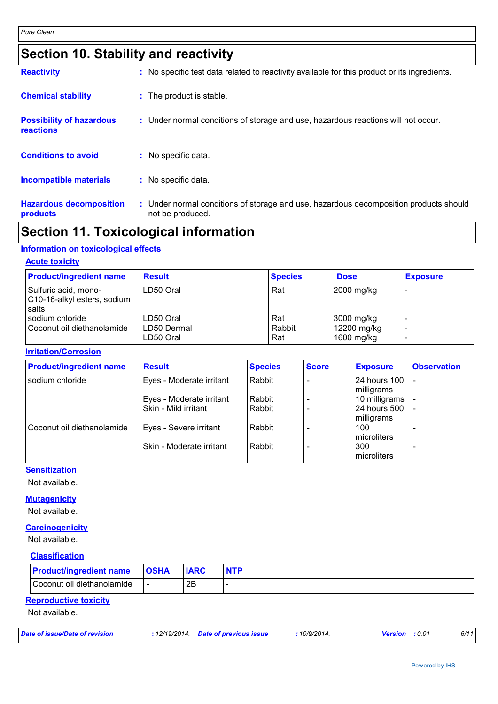### **Section 10. Stability and reactivity**

| <b>Hazardous decomposition</b><br>products   | : Under normal conditions of storage and use, hazardous decomposition products should<br>not be produced. |
|----------------------------------------------|-----------------------------------------------------------------------------------------------------------|
| <b>Incompatible materials</b>                | : No specific data.                                                                                       |
| <b>Conditions to avoid</b>                   | : No specific data.                                                                                       |
| <b>Possibility of hazardous</b><br>reactions | : Under normal conditions of storage and use, hazardous reactions will not occur.                         |
| <b>Chemical stability</b>                    | : The product is stable.                                                                                  |
| <b>Reactivity</b>                            | : No specific test data related to reactivity available for this product or its ingredients.              |

### **Section 11. Toxicological information**

#### **Information on toxicological effects**

#### **Acute toxicity**

| <b>Product/ingredient name</b>                               | <b>Result</b>                          | <b>Species</b>       | <b>Dose</b>                             | <b>Exposure</b> |
|--------------------------------------------------------------|----------------------------------------|----------------------|-----------------------------------------|-----------------|
| Sulfuric acid, mono-<br>C10-16-alkyl esters, sodium<br>salts | ILD50 Oral                             | Rat                  | 2000 mg/kg                              |                 |
| sodium chloride<br>Coconut oil diethanolamide                | LD50 Oral<br>ILD50 Dermal<br>LD50 Oral | Rat<br>Rabbit<br>Rat | 3000 mg/kg<br>12200 mg/kg<br>1600 mg/kg |                 |

#### **Irritation/Corrosion**

| <b>Product/ingredient name</b> | <b>Result</b>             | <b>Species</b> | <b>Score</b> | <b>Exposure</b>                   | <b>Observation</b> |
|--------------------------------|---------------------------|----------------|--------------|-----------------------------------|--------------------|
| sodium chloride                | Eyes - Moderate irritant  | Rabbit         |              | <b>24 hours 100</b><br>milligrams |                    |
|                                | Eyes - Moderate irritant  | Rabbit         |              | 10 milligrams                     |                    |
|                                | Skin - Mild irritant      | Rabbit         |              | 24 hours 500<br>milligrams        |                    |
| Coconut oil diethanolamide     | Eyes - Severe irritant    | Rabbit         |              | 100<br>microliters                |                    |
|                                | ISkin - Moderate irritant | Rabbit         |              | 300<br>microliters                |                    |

### **Sensitization**

Not available.

#### **Mutagenicity**

Not available.

#### **Carcinogenicity**

Not available.

#### **Classification**

| <b>Product/ingredient name</b> | <b>OSHA</b> | <b>IARC</b> | <b>NTP</b> |
|--------------------------------|-------------|-------------|------------|
| Coconut oil diethanolamide     |             | 2B          |            |

#### **Reproductive toxicity**

Not available.

| Date of issue/Date of revision | : 12/19/2014 Date of previous issue | 10/9/2014. | <b>Version</b> : 0.01 | 6/11 |
|--------------------------------|-------------------------------------|------------|-----------------------|------|
|                                |                                     |            |                       |      |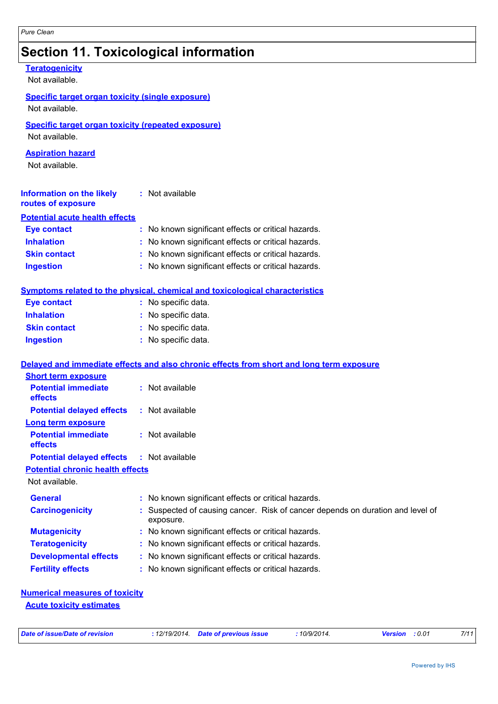### **Section 11. Toxicological information**

#### **Teratogenicity**

Not available.

#### **Specific target organ toxicity (single exposure)** Not available.

#### **Specific target organ toxicity (repeated exposure)**

Not available.

#### **Aspiration hazard**

Not available.

| <b>Information on the likely</b><br>routes of exposure | : Not available                                     |
|--------------------------------------------------------|-----------------------------------------------------|
| <b>Potential acute health effects</b>                  |                                                     |
| Eye contact                                            | : No known significant effects or critical hazards. |
| <b>Inhalation</b>                                      | : No known significant effects or critical hazards. |
| <b>Skin contact</b>                                    | : No known significant effects or critical hazards. |
| <b>Ingestion</b>                                       | : No known significant effects or critical hazards. |

#### **Symptoms related to the physical, chemical and toxicological characteristics**

| <b>Eye contact</b>  | : No specific data. |
|---------------------|---------------------|
| <b>Inhalation</b>   | : No specific data. |
| <b>Skin contact</b> | : No specific data. |
| <b>Ingestion</b>    | : No specific data. |

#### **Delayed and immediate effects and also chronic effects from short and long term exposure**

| <b>Short term exposure</b>                       |                                                                                             |
|--------------------------------------------------|---------------------------------------------------------------------------------------------|
| <b>Potential immediate</b><br><b>effects</b>     | : Not available                                                                             |
| <b>Potential delayed effects</b>                 | $:$ Not available                                                                           |
| Long term exposure                               |                                                                                             |
| <b>Potential immediate</b><br><b>effects</b>     | : Not available                                                                             |
| <b>Potential delayed effects : Not available</b> |                                                                                             |
| <b>Potential chronic health effects</b>          |                                                                                             |
| Not available.                                   |                                                                                             |
| <b>General</b>                                   | : No known significant effects or critical hazards.                                         |
| <b>Carcinogenicity</b>                           | : Suspected of causing cancer. Risk of cancer depends on duration and level of<br>exposure. |
| <b>Mutagenicity</b>                              | : No known significant effects or critical hazards.                                         |
| <b>Teratogenicity</b>                            | : No known significant effects or critical hazards.                                         |
| <b>Developmental effects</b>                     | : No known significant effects or critical hazards.                                         |
| <b>Fertility effects</b>                         | : No known significant effects or critical hazards.                                         |
|                                                  |                                                                                             |

### **Numerical measures of toxicity**

**Acute toxicity estimates**

|  | Date of issue/Date of revision |  |
|--|--------------------------------|--|
|--|--------------------------------|--|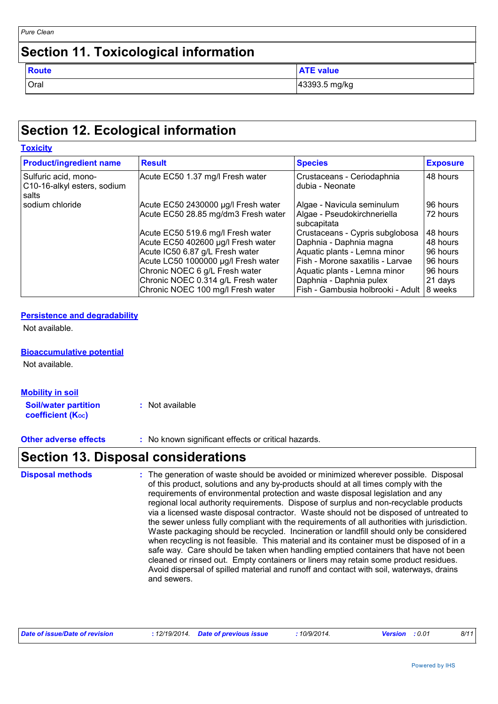| Pure Clean                                   |                  |
|----------------------------------------------|------------------|
| <b>Section 11. Toxicological information</b> |                  |
| <b>Route</b>                                 | <b>ATE value</b> |
| Oral                                         | 43393.5 mg/kg    |

### **Section 12. Ecological information**

| <b>Toxicity</b>                                              |                                     |                                               |                 |
|--------------------------------------------------------------|-------------------------------------|-----------------------------------------------|-----------------|
| <b>Product/ingredient name</b>                               | <b>Result</b>                       | <b>Species</b>                                | <b>Exposure</b> |
| Sulfuric acid, mono-<br>C10-16-alkyl esters, sodium<br>salts | Acute EC50 1.37 mg/l Fresh water    | Crustaceans - Ceriodaphnia<br>dubia - Neonate | 48 hours        |
| sodium chloride                                              | Acute EC50 2430000 µg/l Fresh water | Algae - Navicula seminulum                    | 96 hours        |
|                                                              | Acute EC50 28.85 mg/dm3 Fresh water | Algae - Pseudokirchneriella<br>subcapitata    | 72 hours        |
|                                                              | Acute EC50 519.6 mg/l Fresh water   | Crustaceans - Cypris subglobosa               | 48 hours        |
|                                                              | Acute EC50 402600 µg/l Fresh water  | Daphnia - Daphnia magna                       | 48 hours        |
|                                                              | Acute IC50 6.87 g/L Fresh water     | Aquatic plants - Lemna minor                  | 96 hours        |
|                                                              | Acute LC50 1000000 µg/l Fresh water | Fish - Morone saxatilis - Larvae              | 96 hours        |
|                                                              | Chronic NOEC 6 g/L Fresh water      | Aquatic plants - Lemna minor                  | 96 hours        |
|                                                              | Chronic NOEC 0.314 g/L Fresh water  | Daphnia - Daphnia pulex                       | 21 days         |
|                                                              | Chronic NOEC 100 mg/l Fresh water   | Fish - Gambusia holbrooki - Adult             | 8 weeks         |

#### **Persistence and degradability**

Not available.

**Bioaccumulative potential**

Not available.

| <b>Mobility in soil</b>     |                 |
|-----------------------------|-----------------|
| <b>Soil/water partition</b> | : Not available |
| <b>coefficient (Koc)</b>    |                 |

**Other adverse effects** : No known significant effects or critical hazards.

### **Section 13. Disposal considerations**

The generation of waste should be avoided or minimized wherever possible. Disposal of this product, solutions and any by-products should at all times comply with the requirements of environmental protection and waste disposal legislation and any regional local authority requirements. Dispose of surplus and non-recyclable products via a licensed waste disposal contractor. Waste should not be disposed of untreated to the sewer unless fully compliant with the requirements of all authorities with jurisdiction. Waste packaging should be recycled. Incineration or landfill should only be considered when recycling is not feasible. This material and its container must be disposed of in a safe way. Care should be taken when handling emptied containers that have not been cleaned or rinsed out. Empty containers or liners may retain some product residues. Avoid dispersal of spilled material and runoff and contact with soil, waterways, drains and sewers. **Disposal methods :**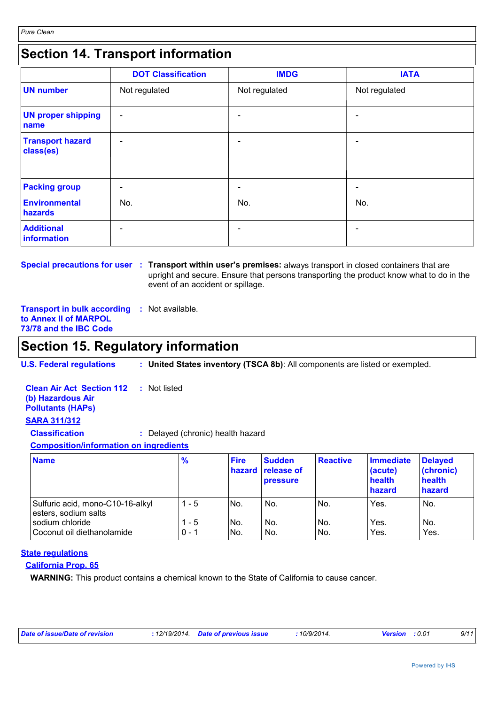### **Section 14. Transport information**

|                                      | <b>DOT Classification</b> | <b>IMDG</b>   | <b>IATA</b>              |
|--------------------------------------|---------------------------|---------------|--------------------------|
| <b>UN number</b>                     | Not regulated             | Not regulated | Not regulated            |
| <b>UN proper shipping</b><br>name    | $\overline{\phantom{a}}$  |               |                          |
| <b>Transport hazard</b><br>class(es) | $\overline{\phantom{0}}$  |               |                          |
| <b>Packing group</b>                 | $\overline{\phantom{a}}$  |               | $\overline{\phantom{a}}$ |
| <b>Environmental</b><br>hazards      | No.                       | No.           | No.                      |
| <b>Additional</b><br>information     |                           |               |                          |

**Special precautions for user : Transport within user's premises: always transport in closed containers that are** upright and secure. Ensure that persons transporting the product know what to do in the event of an accident or spillage.

**Transport in bulk according :** Not available. **to Annex II of MARPOL 73/78 and the IBC Code**

### **Section 15. Regulatory information**

**U.S. Federal regulations : United States inventory (TSCA 8b)**: All components are listed or exempted.

| <b>Clean Air Act Section 112</b> : Not listed<br>(b) Hazardous Air<br><b>Pollutants (HAPs)</b> |                                   |             |               |
|------------------------------------------------------------------------------------------------|-----------------------------------|-------------|---------------|
| <b>SARA 311/312</b>                                                                            |                                   |             |               |
| <b>Classification</b>                                                                          | : Delayed (chronic) health hazard |             |               |
| <b>Composition/information on ingredients</b>                                                  |                                   |             |               |
| <b>Name</b>                                                                                    | %                                 | <b>Fire</b> | <b>Sudden</b> |

| <b>Name</b>                                              | $\frac{9}{6}$    | <b>Fire</b>  | <b>Sudden</b><br>hazard release of<br><b>pressure</b> | <b>Reactive</b> | <b>Immediate</b><br>(acute)<br>health<br>hazard | <b>Delayed</b><br>(chronic)<br>health<br>hazard |
|----------------------------------------------------------|------------------|--------------|-------------------------------------------------------|-----------------|-------------------------------------------------|-------------------------------------------------|
| Sulfuric acid, mono-C10-16-alkyl<br>esters, sodium salts | $1 - 5$          | No.          | No.                                                   | No.             | Yes.                                            | No.                                             |
| sodium chloride<br>Coconut oil diethanolamide            | 1 - 5<br>$0 - 1$ | INo.<br>INo. | No.<br>No.                                            | No.<br>No.      | Yes.<br>Yes.                                    | No.<br>Yes.                                     |

#### **State regulations**

#### **California Prop. 65**

**WARNING:** This product contains a chemical known to the State of California to cause cancer.

| Date of issue/Date of revision | : 12/19/2014 Date of previous issue | 10/9/2014. | <b>Version</b> : 0.01 | 9/11 |
|--------------------------------|-------------------------------------|------------|-----------------------|------|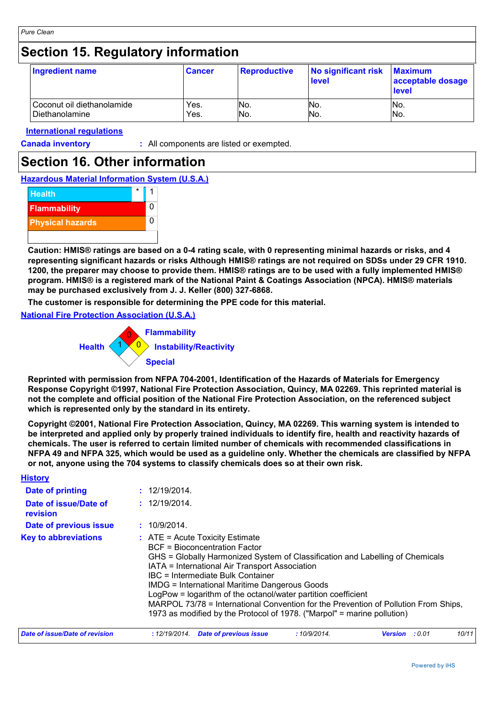### **Section 15. Regulatory information**

| Ingredient name            | <b>Cancer</b> | <b>Reproductive</b> | No significant risk<br>level | <b>Maximum</b><br>acceptable dosage<br><b>level</b> |
|----------------------------|---------------|---------------------|------------------------------|-----------------------------------------------------|
| Coconut oil diethanolamide | Yes.          | INo.                | No.                          | IN <sub>o</sub>                                     |
| Diethanolamine             | Yes.          | No.                 | No.                          | No.                                                 |

#### **International regulations**

**Canada inventory :** All components are listed or exempted.

### **Section 16. Other information**

**Hazardous Material Information System (U.S.A.)**



**Caution: HMIS® ratings are based on a 0-4 rating scale, with 0 representing minimal hazards or risks, and 4 representing significant hazards or risks Although HMIS® ratings are not required on SDSs under 29 CFR 1910. 1200, the preparer may choose to provide them. HMIS® ratings are to be used with a fully implemented HMIS® program. HMIS® is a registered mark of the National Paint & Coatings Association (NPCA). HMIS® materials may be purchased exclusively from J. J. Keller (800) 327-6868.**

**The customer is responsible for determining the PPE code for this material.**

#### **National Fire Protection Association (U.S.A.)**



**Reprinted with permission from NFPA 704-2001, Identification of the Hazards of Materials for Emergency Response Copyright ©1997, National Fire Protection Association, Quincy, MA 02269. This reprinted material is not the complete and official position of the National Fire Protection Association, on the referenced subject which is represented only by the standard in its entirety.**

**Copyright ©2001, National Fire Protection Association, Quincy, MA 02269. This warning system is intended to be interpreted and applied only by properly trained individuals to identify fire, health and reactivity hazards of chemicals. The user is referred to certain limited number of chemicals with recommended classifications in NFPA 49 and NFPA 325, which would be used as a guideline only. Whether the chemicals are classified by NFPA or not, anyone using the 704 systems to classify chemicals does so at their own risk.**

| <b>History</b>                    |                                                                                                                                                                                                                                                                                                                                                                                                                                                                                                                                                |                |        |       |  |  |
|-----------------------------------|------------------------------------------------------------------------------------------------------------------------------------------------------------------------------------------------------------------------------------------------------------------------------------------------------------------------------------------------------------------------------------------------------------------------------------------------------------------------------------------------------------------------------------------------|----------------|--------|-------|--|--|
| Date of printing                  | : 12/19/2014.                                                                                                                                                                                                                                                                                                                                                                                                                                                                                                                                  |                |        |       |  |  |
| Date of issue/Date of<br>revision | : 12/19/2014.                                                                                                                                                                                                                                                                                                                                                                                                                                                                                                                                  |                |        |       |  |  |
| Date of previous issue            | : 10/9/2014.                                                                                                                                                                                                                                                                                                                                                                                                                                                                                                                                   |                |        |       |  |  |
| <b>Key to abbreviations</b>       | $\therefore$ ATE = Acute Toxicity Estimate<br>BCF = Bioconcentration Factor<br>GHS = Globally Harmonized System of Classification and Labelling of Chemicals<br>IATA = International Air Transport Association<br>IBC = Intermediate Bulk Container<br><b>IMDG = International Maritime Dangerous Goods</b><br>LogPow = logarithm of the octanol/water partition coefficient<br>MARPOL 73/78 = International Convention for the Prevention of Pollution From Ships,<br>1973 as modified by the Protocol of 1978. ("Marpol" = marine pollution) |                |        |       |  |  |
| Date of issue/Date of revision    | <u>:</u> 12/19/2014.<br>Date of previous issue<br>:10/9/2014.                                                                                                                                                                                                                                                                                                                                                                                                                                                                                  | <b>Version</b> | : 0.01 | 10/11 |  |  |